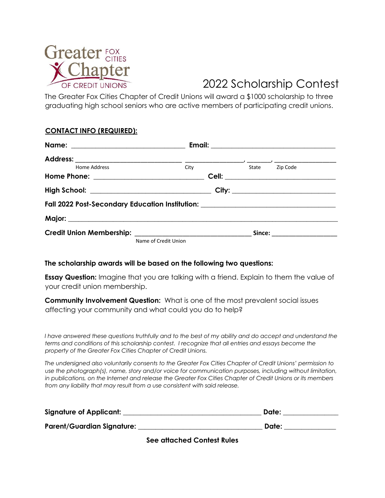

## 2022 Scholarship Contest

The Greater Fox Cities Chapter of Credit Unions will award a \$1000 scholarship to three graduating high school seniors who are active members of participating credit unions.

### **CONTACT INFO (REQUIRED):**

| Home Address                                                                     | City                 |  | State Zip Code                           |
|----------------------------------------------------------------------------------|----------------------|--|------------------------------------------|
|                                                                                  |                      |  | <b>Cell: ___________________________</b> |
| High School: __________________________________                                  |                      |  |                                          |
| Fall 2022 Post-Secondary Education Institution: ________________________________ |                      |  |                                          |
|                                                                                  |                      |  |                                          |
|                                                                                  |                      |  | Since: ______________________            |
|                                                                                  | Name of Credit Union |  |                                          |

### **The scholarship awards will be based on the following two questions:**

**Essay Question:** Imagine that you are talking with a friend. Explain to them the value of your credit union membership.

**Community Involvement Question:** What is one of the most prevalent social issues affecting your community and what could you do to help?

*I* have answered these questions truthfully and to the best of my ability and do accept and understand the *terms and conditions of this scholarship contest. I recognize that all entries and essays become the property of the Greater Fox Cities Chapter of Credit Unions.* 

*The undersigned also voluntarily consents to the Greater Fox Cities Chapter of Credit Unions' permission to use the photograph(s), name, story and/or voice for communication purposes, including without limitation, in publications, on the Internet and release the Greater Fox Cities Chapter of Credit Unions or its members from any liability that may result from a use consistent with said release.* 

| <b>Signature of Applicant:</b>    | Date: |
|-----------------------------------|-------|
| <b>Parent/Guardian Signature:</b> | Date: |

**See attached Contest Rules**